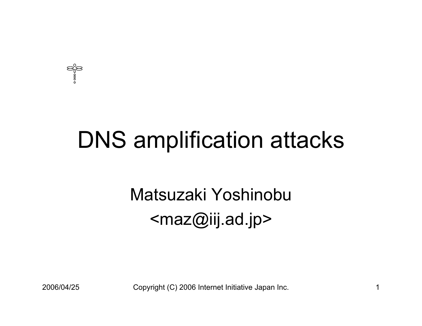

## DNS amplification attacks

#### Matsuzaki Yoshinobu<maz@iij.ad.jp>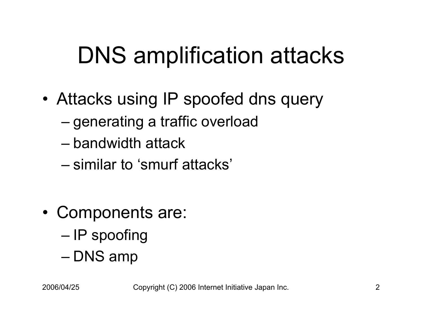## DNS amplification attacks

- • Attacks using IP spoofed dns query
	- –– generating a traffic overload
	- bandwidth attack
	- –similar to 'smurf attacks'
- • Components are: –– IP spoofing –– DNS amp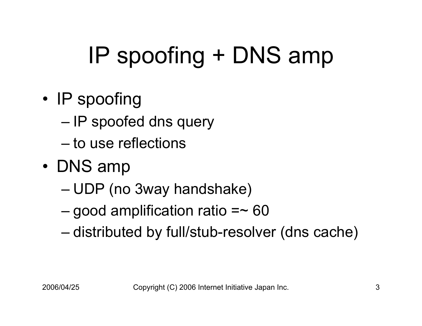# IP spoofing + DNS amp

- •• IP spoofing
	- –– IP spoofed dns query
	- –to use reflections
- DNS amp
	- –UDP (no 3way handshake)
	- –– good amplification ratio =~ 60  $\,$
	- distributed by full/stub-resolver (dns cache)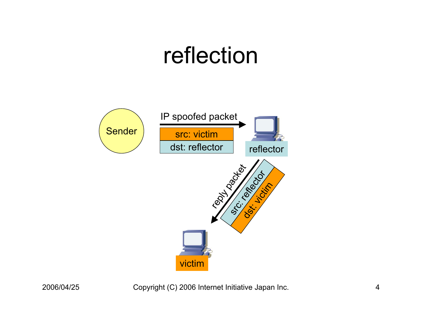#### reflection

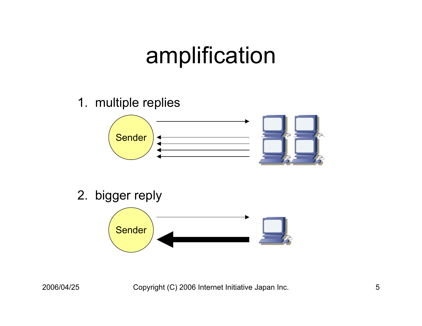## amplification

1. multiple replies



2. bigger reply

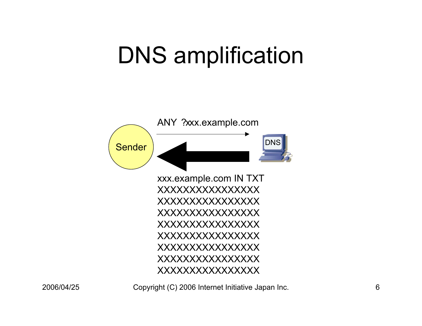## DNS amplification

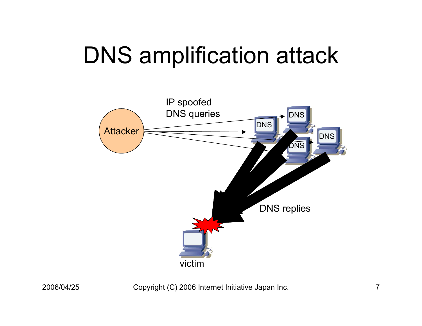## DNS amplification attack

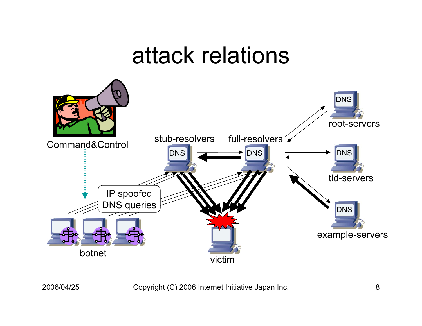#### attack relations

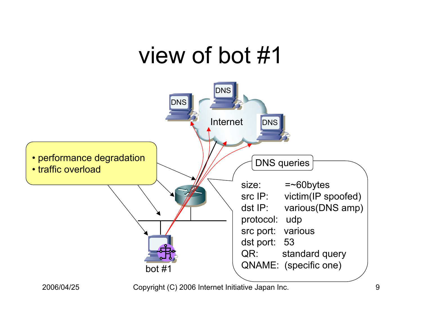#### view of bot #1

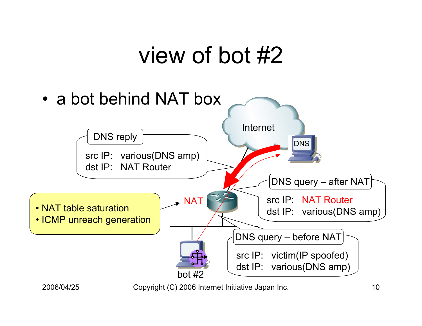### view of bot #2

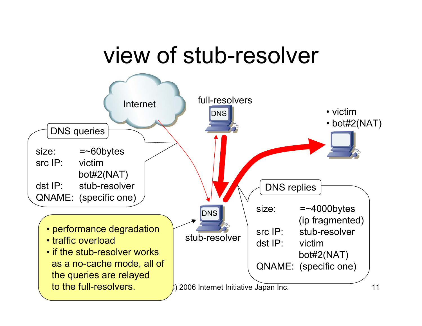## view of stub-resolver

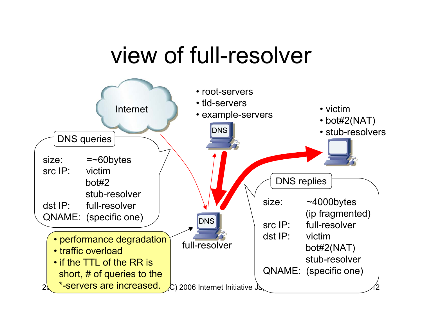## view of full-resolver

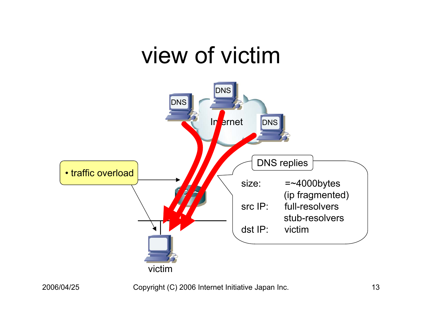#### view of victim

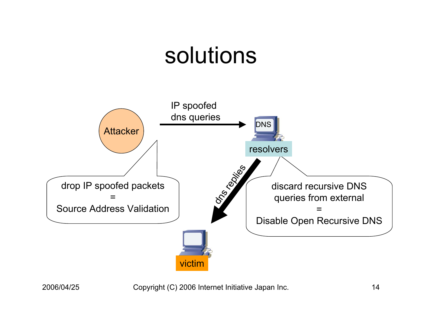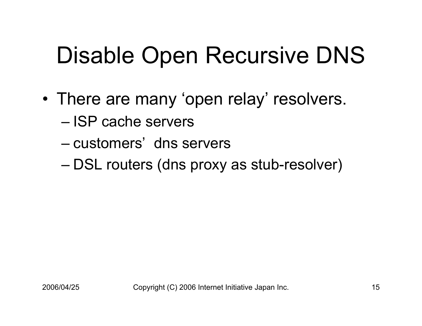# Disable Open Recursive DNS

- • There are many 'open relay' resolvers.
	- ISP cache servers
	- –customers' dns servers
	- DSL routers (dns proxy as stub-resolver)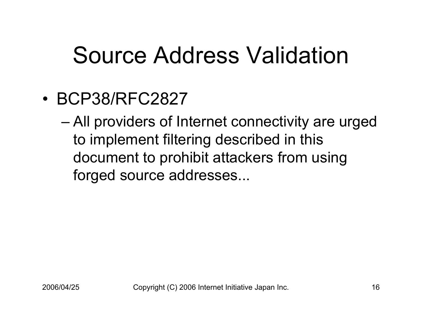## Source Address Validation

•BCP38/RFC2827

– All providers of Internet connectivity are urged to implement filtering described in this document to prohibit attackers from using forged source addresses...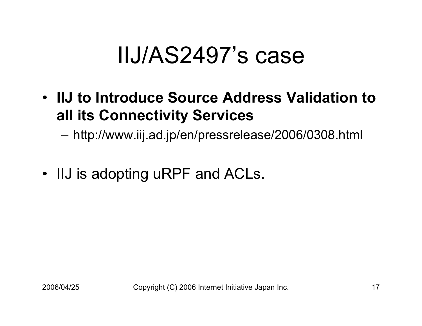## IIJ/AS2497's case

• **IIJ to Introduce Source Address Validation to all its Connectivity Services**

– http://www.iij.ad.jp/en/pressrelease/2006/0308.html

• IIJ is adopting uRPF and ACLs.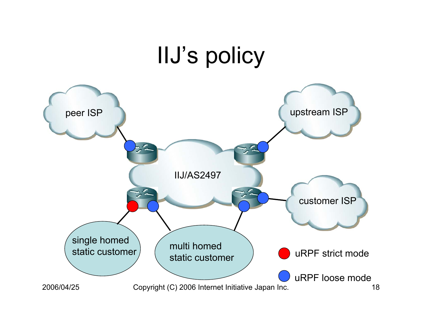#### 2006/04/25 Copyright (C) 2006 Internet Initiative Japan Inc. 18 IIJ's policy peer ISP version of the upstream ISP version of the upstream ISP customer ISP multi homed static customer single homed static customer IIJ/AS2497 uRPF strict mode uRPF loose mode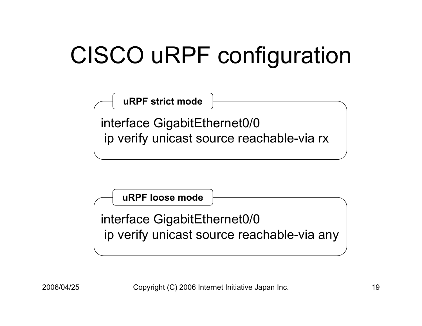# CISCO uRPF configuration

**uRPF strict mode**

interface GigabitEthernet0/0 ip verify unicast source reachable-via rx

**uRPF loose mode**interface GigabitEthernet0/0 ip verify unicast source reachable-via any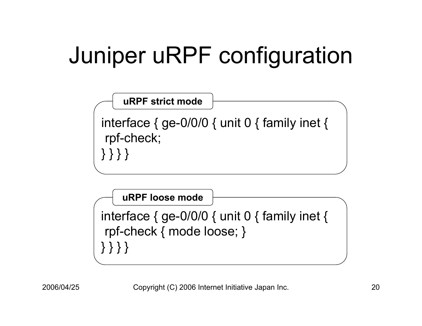# Juniper uRPF configuration



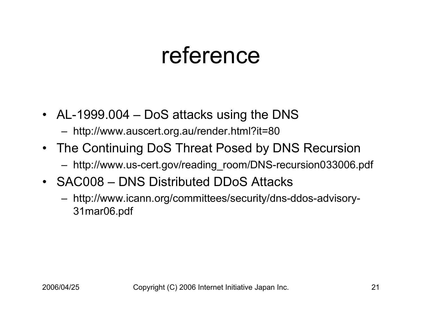#### reference

- AL-1999.004 DoS attacks using the DNS
	- http://www.auscert.org.au/render.html?it=80
- The Continuing DoS Threat Posed by DNS Recursion
	- http://www.us-cert.gov/reading\_room/DNS-recursion033006.pdf
- SAC008 DNS Distributed DDoS Attacks
	- http://www.icann.org/committees/security/dns-ddos-advisory-31mar06.pdf